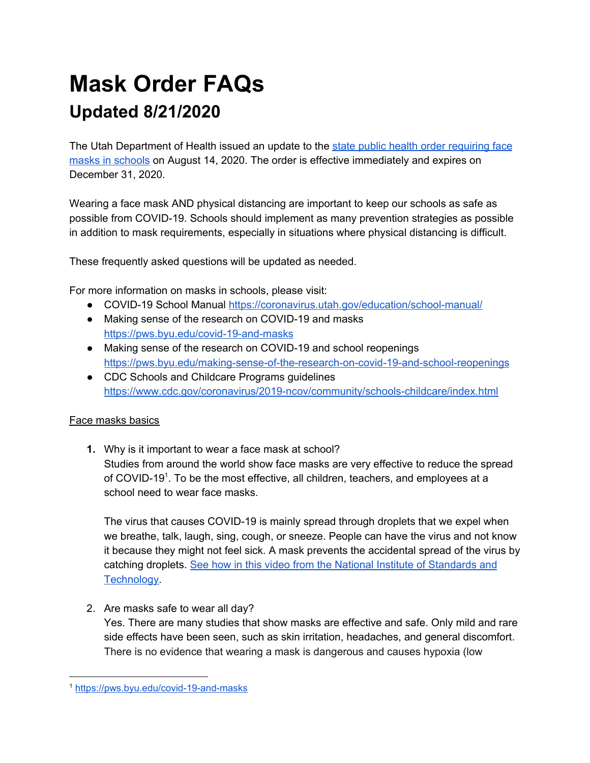# **Mask Order FAQs Updated 8/21/2020**

The Utah Department of Health issued an update to the state public health order [requiring](https://coronavirus-download.utah.gov/Governor/State-Public-Health-Order-UPHO-2020-11-v.2.pdf) face masks in [schools](https://coronavirus-download.utah.gov/Governor/State-Public-Health-Order-UPHO-2020-11-v.2.pdf) on August 14, 2020. The order is effective immediately and expires on December 31, 2020.

Wearing a face mask AND physical distancing are important to keep our schools as safe as possible from COVID-19. Schools should implement as many prevention strategies as possible in addition to mask requirements, especially in situations where physical distancing is difficult.

These frequently asked questions will be updated as needed.

For more information on masks in schools, please visit:

- COVID-19 School Manual <https://coronavirus.utah.gov/education/school-manual/>
- Making sense of the research on COVID-19 and masks <https://pws.byu.edu/covid-19-and-masks>
- Making sense of the research on COVID-19 and school reopenings <https://pws.byu.edu/making-sense-of-the-research-on-covid-19-and-school-reopenings>
- CDC Schools and Childcare Programs guidelines <https://www.cdc.gov/coronavirus/2019-ncov/community/schools-childcare/index.html>

# Face masks basics

**1.** Why is it important to wear a face mask at school? Studies from around the world show face masks are very effective to reduce the spread of COVID-19<sup>1</sup>. To be the most effective, all children, teachers, and employees at a school need to wear face masks.

The virus that causes COVID-19 is mainly spread through droplets that we expel when we breathe, talk, laugh, sing, cough, or sneeze. People can have the virus and not know it because they might not feel sick. A mask prevents the accidental spread of the virus by catching droplets. See how in this video from the National Institute of [Standards](https://www.nist.gov/video/cover-smart-do-your-part-slow-spread) and **Technology** 

2. Are masks safe to wear all day?

Yes. There are many studies that show masks are effective and safe. Only mild and rare side effects have been seen, such as skin irritation, headaches, and general discomfort. There is no evidence that wearing a mask is dangerous and causes hypoxia (low

<sup>1</sup> <https://pws.byu.edu/covid-19-and-masks>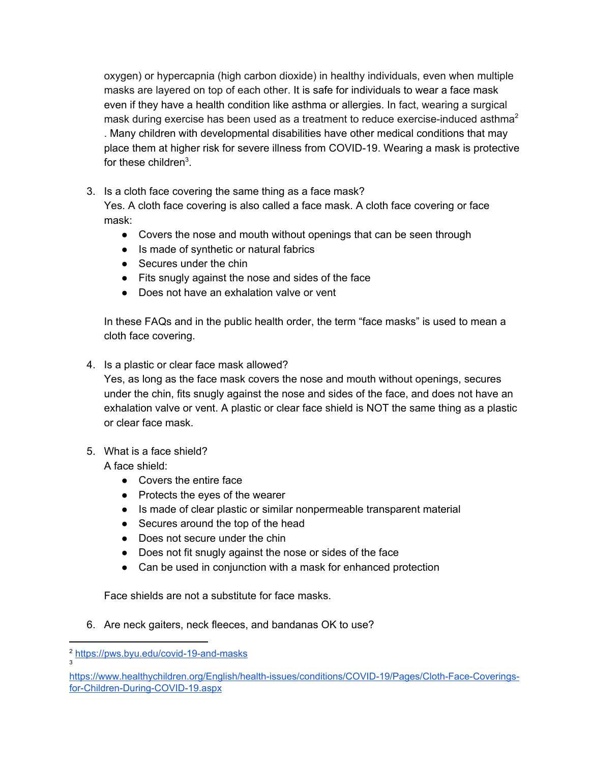oxygen) or hypercapnia (high carbon dioxide) in healthy individuals, even when multiple masks are layered on top of each other. It is safe for individuals to wear a face mask even if they have a health condition like asthma or allergies. In fact, wearing a surgical mask during exercise has been used as a treatment to reduce exercise-induced asthma<sup>2</sup> . Many children with developmental disabilities have other medical conditions that may place them at higher risk for severe illness from COVID-19. Wearing a mask is protective for these children $3$ .

- 3. Is a cloth face covering the same thing as a face mask? Yes. A cloth face covering is also called a face mask. A cloth face covering or face mask:
	- Covers the nose and mouth without openings that can be seen through
	- Is made of synthetic or natural fabrics
	- Secures under the chin
	- Fits snugly against the nose and sides of the face
	- Does not have an exhalation valve or vent

In these FAQs and in the public health order, the term "face masks" is used to mean a cloth face covering.

4. Is a plastic or clear face mask allowed?

Yes, as long as the face mask covers the nose and mouth without openings, secures under the chin, fits snugly against the nose and sides of the face, and does not have an exhalation valve or vent. A plastic or clear face shield is NOT the same thing as a plastic or clear face mask.

5. What is a face shield?

A face shield:

- Covers the entire face
- Protects the eyes of the wearer
- Is made of clear plastic or similar nonpermeable transparent material
- Secures around the top of the head
- Does not secure under the chin
- Does not fit snugly against the nose or sides of the face
- Can be used in conjunction with a mask for enhanced protection

Face shields are not a substitute for face masks.

6. Are neck gaiters, neck fleeces, and bandanas OK to use?

3

<sup>2</sup> <https://pws.byu.edu/covid-19-and-masks>

[https://www.healthychildren.org/English/health-issues/conditions/COVID-19/Pages/Cloth-Face-Coverings](https://www.healthychildren.org/English/health-issues/conditions/COVID-19/Pages/Cloth-Face-Coverings-for-Children-During-COVID-19.aspx)[for-Children-During-COVID-19.aspx](https://www.healthychildren.org/English/health-issues/conditions/COVID-19/Pages/Cloth-Face-Coverings-for-Children-During-COVID-19.aspx)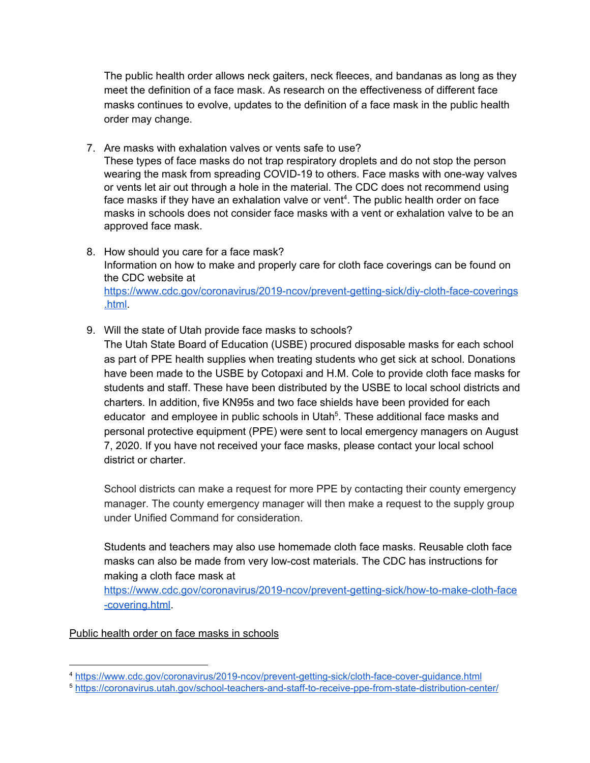The public health order allows neck gaiters, neck fleeces, and bandanas as long as they meet the definition of a face mask. As research on the effectiveness of different face masks continues to evolve, updates to the definition of a face mask in the public health order may change.

- 7. Are masks with exhalation valves or vents safe to use? These types of face masks do not trap respiratory droplets and do not stop the person wearing the mask from spreading COVID-19 to others. Face masks with one-way valves or vents let air out through a hole in the material. The CDC does not recommend using face masks if they have an exhalation valve or vent<sup>4</sup>. The public health order on face masks in schools does not consider face masks with a vent or exhalation valve to be an approved face mask.
- 8. How should you care for a face mask? Information on how to make and properly care for cloth face coverings can be found on the CDC website at [https://www.cdc.gov/coronavirus/2019-ncov/prevent-getting-sick/diy-cloth-face-coverings](https://www.cdc.gov/coronavirus/2019-ncov/prevent-getting-sick/diy-cloth-face-coverings.html) [.html.](https://www.cdc.gov/coronavirus/2019-ncov/prevent-getting-sick/diy-cloth-face-coverings.html)
- 9. Will the state of Utah provide face masks to schools?

The Utah State Board of Education (USBE) procured disposable masks for each school as part of PPE health supplies when treating students who get sick at school. Donations have been made to the USBE by Cotopaxi and H.M. Cole to provide cloth face masks for students and staff. These have been distributed by the USBE to local school districts and charters. In addition, five KN95s and two face shields have been provided for each educator and employee in public schools in Utah<sup>5</sup>. These additional face masks and personal protective equipment (PPE) were sent to local emergency managers on August 7, 2020. If you have not received your face masks, please contact your local school district or charter.

School districts can make a request for more PPE by contacting their county emergency manager. The county emergency manager will then make a request to the supply group under Unified Command for consideration.

Students and teachers may also use homemade cloth face masks. Reusable cloth face masks can also be made from very low-cost materials. The CDC has instructions for making a cloth face mask at

[https://www.cdc.gov/coronavirus/2019-ncov/prevent-getting-sick/how-to-make-cloth-face](https://www.cdc.gov/coronavirus/2019-ncov/prevent-getting-sick/how-to-make-cloth-face-covering.html) [-covering.html](https://www.cdc.gov/coronavirus/2019-ncov/prevent-getting-sick/how-to-make-cloth-face-covering.html).

Public health order on face masks in schools

<sup>4</sup> <https://www.cdc.gov/coronavirus/2019-ncov/prevent-getting-sick/cloth-face-cover-guidance.html>

<sup>5</sup> <https://coronavirus.utah.gov/school-teachers-and-staff-to-receive-ppe-from-state-distribution-center/>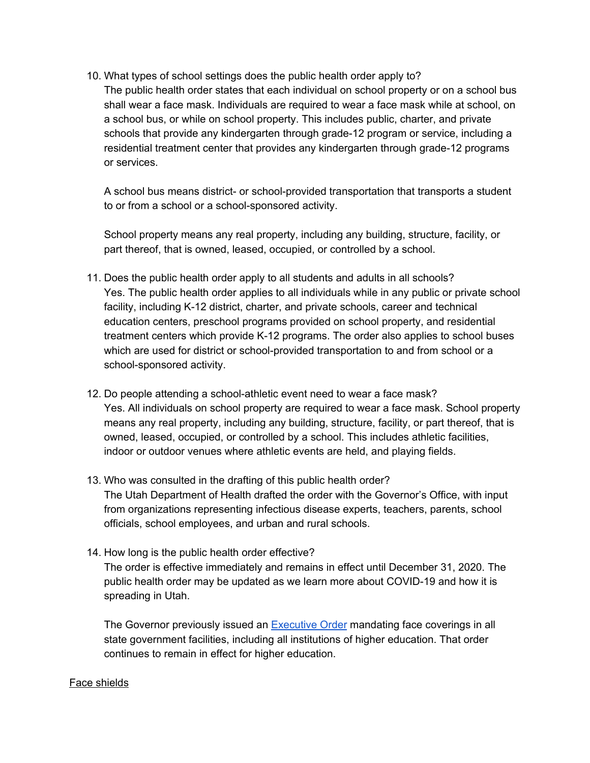10. What types of school settings does the public health order apply to? The public health order states that each individual on school property or on a school bus shall wear a face mask. Individuals are required to wear a face mask while at school, on a school bus, or while on school property. This includes public, charter, and private schools that provide any kindergarten through grade-12 program or service, including a residential treatment center that provides any kindergarten through grade-12 programs or services.

A school bus means district- or school-provided transportation that transports a student to or from a school or a school-sponsored activity.

School property means any real property, including any building, structure, facility, or part thereof, that is owned, leased, occupied, or controlled by a school.

- 11. Does the public health order apply to all students and adults in all schools? Yes. The public health order applies to all individuals while in any public or private school facility, including K-12 district, charter, and private schools, career and technical education centers, preschool programs provided on school property, and residential treatment centers which provide K-12 programs. The order also applies to school buses which are used for district or school-provided transportation to and from school or a school-sponsored activity.
- 12. Do people attending a school-athletic event need to wear a face mask? Yes. All individuals on school property are required to wear a face mask. School property means any real property, including any building, structure, facility, or part thereof, that is owned, leased, occupied, or controlled by a school. This includes athletic facilities, indoor or outdoor venues where athletic events are held, and playing fields.
- 13. Who was consulted in the drafting of this public health order? The Utah Department of Health drafted the order with the Governor's Office, with input from organizations representing infectious disease experts, teachers, parents, school officials, school employees, and urban and rural schools.
- 14. How long is the public health order effective? The order is effective immediately and remains in effect until December 31, 2020. The public health order may be updated as we learn more about COVID-19 and how it is spreading in Utah.

The Governor previously issued an **[Executive](https://coronavirus-download.utah.gov/Governor/EO-2020-48-face-coverings.pdf) Order** mandating face coverings in all state government facilities, including all institutions of higher education. That order continues to remain in effect for higher education.

#### Face shields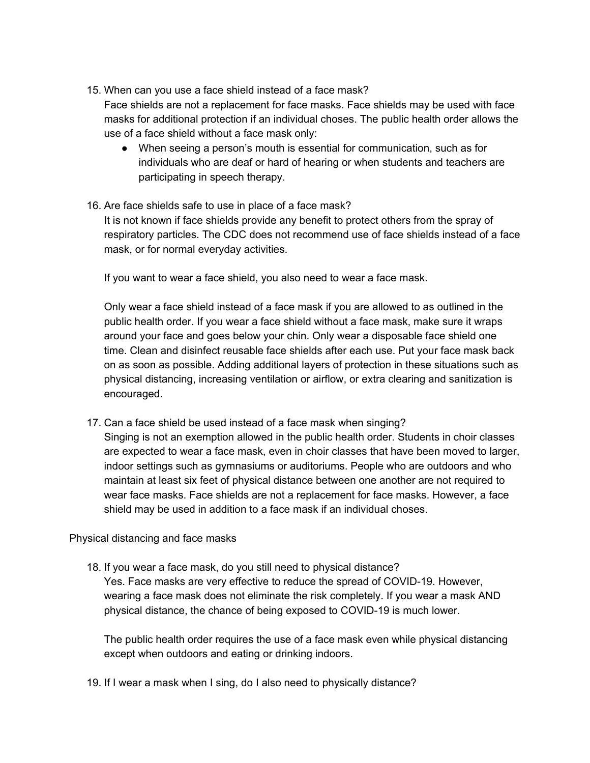- 15. When can you use a face shield instead of a face mask? Face shields are not a replacement for face masks. Face shields may be used with face
	- masks for additional protection if an individual choses. The public health order allows the use of a face shield without a face mask only:
		- When seeing a person's mouth is essential for communication, such as for individuals who are deaf or hard of hearing or when students and teachers are participating in speech therapy.
- 16. Are face shields safe to use in place of a face mask?

It is not known if face shields provide any benefit to protect others from the spray of respiratory particles. The CDC does not recommend use of face shields instead of a face mask, or for normal everyday activities.

If you want to wear a face shield, you also need to wear a face mask.

Only wear a face shield instead of a face mask if you are allowed to as outlined in the public health order. If you wear a face shield without a face mask, make sure it wraps around your face and goes below your chin. Only wear a disposable face shield one time. Clean and disinfect reusable face shields after each use. Put your face mask back on as soon as possible. Adding additional layers of protection in these situations such as physical distancing, increasing ventilation or airflow, or extra clearing and sanitization is encouraged.

17. Can a face shield be used instead of a face mask when singing?

Singing is not an exemption allowed in the public health order. Students in choir classes are expected to wear a face mask, even in choir classes that have been moved to larger, indoor settings such as gymnasiums or auditoriums. People who are outdoors and who maintain at least six feet of physical distance between one another are not required to wear face masks. Face shields are not a replacement for face masks. However, a face shield may be used in addition to a face mask if an individual choses.

# Physical distancing and face masks

18. If you wear a face mask, do you still need to physical distance? Yes. Face masks are very effective to reduce the spread of COVID-19. However, wearing a face mask does not eliminate the risk completely. If you wear a mask AND physical distance, the chance of being exposed to COVID-19 is much lower.

The public health order requires the use of a face mask even while physical distancing except when outdoors and eating or drinking indoors.

19. If I wear a mask when I sing, do I also need to physically distance?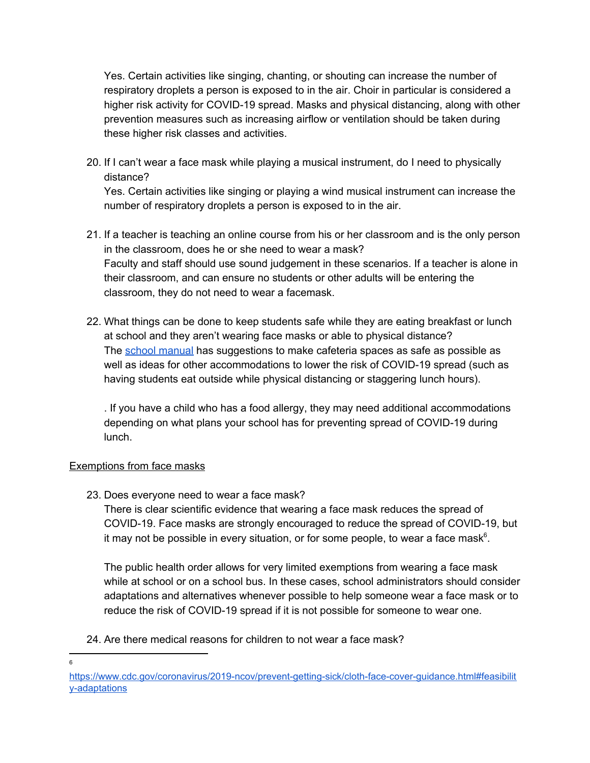Yes. Certain activities like singing, chanting, or shouting can increase the number of respiratory droplets a person is exposed to in the air. Choir in particular is considered a higher risk activity for COVID-19 spread. Masks and physical distancing, along with other prevention measures such as increasing airflow or ventilation should be taken during these higher risk classes and activities.

20. If I can't wear a face mask while playing a musical instrument, do I need to physically distance?

Yes. Certain activities like singing or playing a wind musical instrument can increase the number of respiratory droplets a person is exposed to in the air.

- 21. If a teacher is teaching an online course from his or her classroom and is the only person in the classroom, does he or she need to wear a mask? Faculty and staff should use sound judgement in these scenarios. If a teacher is alone in their classroom, and can ensure no students or other adults will be entering the classroom, they do not need to wear a facemask.
- 22. What things can be done to keep students safe while they are eating breakfast or lunch at school and they aren't wearing face masks or able to physical distance? The school [manual](https://coronavirus.utah.gov/education/school-manual/) has suggestions to make cafeteria spaces as safe as possible as well as ideas for other accommodations to lower the risk of COVID-19 spread (such as having students eat outside while physical distancing or staggering lunch hours).

. If you have a child who has a food allergy, they may need additional accommodations depending on what plans your school has for preventing spread of COVID-19 during lunch.

## Exemptions from face masks

23. Does everyone need to wear a face mask?

There is clear scientific evidence that wearing a face mask reduces the spread of COVID-19. Face masks are strongly encouraged to reduce the spread of COVID-19, but it may not be possible in every situation, or for some people, to wear a face mask $6$ .

The public health order allows for very limited exemptions from wearing a face mask while at school or on a school bus. In these cases, school administrators should consider adaptations and alternatives whenever possible to help someone wear a face mask or to reduce the risk of COVID-19 spread if it is not possible for someone to wear one.

## 24. Are there medical reasons for children to not wear a face mask?

6

[https://www.cdc.gov/coronavirus/2019-ncov/prevent-getting-sick/cloth-face-cover-guidance.html#feasibilit](https://www.cdc.gov/coronavirus/2019-ncov/prevent-getting-sick/cloth-face-cover-guidance.html#feasibility-adaptations) [y-adaptations](https://www.cdc.gov/coronavirus/2019-ncov/prevent-getting-sick/cloth-face-cover-guidance.html#feasibility-adaptations)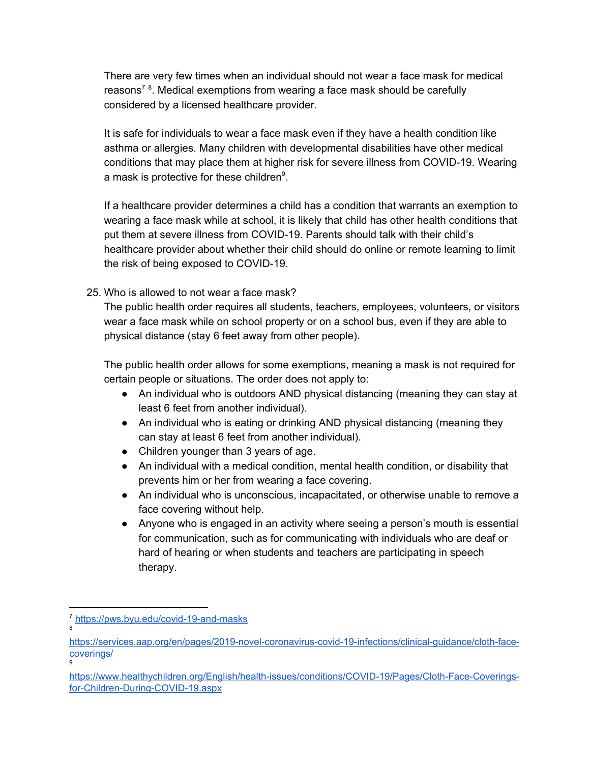There are very few times when an individual should not wear a face mask for medical reasons<sup>78</sup>. Medical exemptions from wearing a face mask should be carefully considered by a licensed healthcare provider.

It is safe for individuals to wear a face mask even if they have a health condition like asthma or allergies. Many children with developmental disabilities have other medical conditions that may place them at higher risk for severe illness from COVID-19. Wearing a mask is protective for these children $9$ .

If a healthcare provider determines a child has a condition that warrants an exemption to wearing a face mask while at school, it is likely that child has other health conditions that put them at severe illness from COVID-19. Parents should talk with their child's healthcare provider about whether their child should do online or remote learning to limit the risk of being exposed to COVID-19.

## 25. Who is allowed to not wear a face mask?

The public health order requires all students, teachers, employees, volunteers, or visitors wear a face mask while on school property or on a school bus, even if they are able to physical distance (stay 6 feet away from other people).

The public health order allows for some exemptions, meaning a mask is not required for certain people or situations. The order does not apply to:

- An individual who is outdoors AND physical distancing (meaning they can stay at least 6 feet from another individual).
- An individual who is eating or drinking AND physical distancing (meaning they can stay at least 6 feet from another individual).
- Children younger than 3 years of age.
- An individual with a medical condition, mental health condition, or disability that prevents him or her from wearing a face covering.
- An individual who is unconscious, incapacitated, or otherwise unable to remove a face covering without help.
- Anyone who is engaged in an activity where seeing a person's mouth is essential for communication, such as for communicating with individuals who are deaf or hard of hearing or when students and teachers are participating in speech therapy.

9

<sup>7</sup> <https://pws.byu.edu/covid-19-and-masks> 8

[https://services.aap.org/en/pages/2019-novel-coronavirus-covid-19-infections/clinical-guidance/cloth-face](https://services.aap.org/en/pages/2019-novel-coronavirus-covid-19-infections/clinical-guidance/cloth-face-coverings/)[coverings/](https://services.aap.org/en/pages/2019-novel-coronavirus-covid-19-infections/clinical-guidance/cloth-face-coverings/)

[https://www.healthychildren.org/English/health-issues/conditions/COVID-19/Pages/Cloth-Face-Coverings](https://www.healthychildren.org/English/health-issues/conditions/COVID-19/Pages/Cloth-Face-Coverings-for-Children-During-COVID-19.aspx)[for-Children-During-COVID-19.aspx](https://www.healthychildren.org/English/health-issues/conditions/COVID-19/Pages/Cloth-Face-Coverings-for-Children-During-COVID-19.aspx)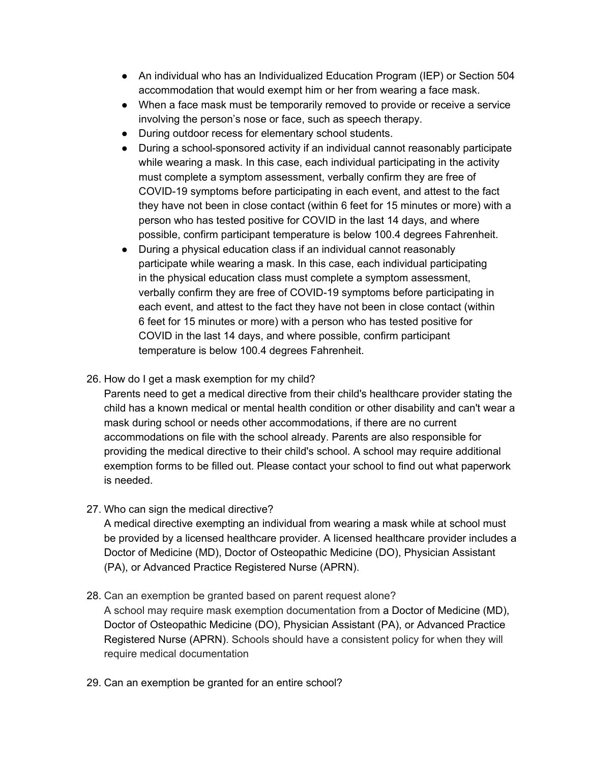- An individual who has an Individualized Education Program (IEP) or Section 504 accommodation that would exempt him or her from wearing a face mask.
- When a face mask must be temporarily removed to provide or receive a service involving the person's nose or face, such as speech therapy.
- During outdoor recess for elementary school students.
- During a school-sponsored activity if an individual cannot reasonably participate while wearing a mask. In this case, each individual participating in the activity must complete a symptom assessment, verbally confirm they are free of COVID-19 symptoms before participating in each event, and attest to the fact they have not been in close contact (within 6 feet for 15 minutes or more) with a person who has tested positive for COVID in the last 14 days, and where possible, confirm participant temperature is below 100.4 degrees Fahrenheit.
- During a physical education class if an individual cannot reasonably participate while wearing a mask. In this case, each individual participating in the physical education class must complete a symptom assessment, verbally confirm they are free of COVID-19 symptoms before participating in each event, and attest to the fact they have not been in close contact (within 6 feet for 15 minutes or more) with a person who has tested positive for COVID in the last 14 days, and where possible, confirm participant temperature is below 100.4 degrees Fahrenheit.
- 26. How do I get a mask exemption for my child?

Parents need to get a medical directive from their child's healthcare provider stating the child has a known medical or mental health condition or other disability and can't wear a mask during school or needs other accommodations, if there are no current accommodations on file with the school already. Parents are also responsible for providing the medical directive to their child's school. A school may require additional exemption forms to be filled out. Please contact your school to find out what paperwork is needed.

27. Who can sign the medical directive?

A medical directive exempting an individual from wearing a mask while at school must be provided by a licensed healthcare provider. A licensed healthcare provider includes a Doctor of Medicine (MD), Doctor of Osteopathic Medicine (DO), Physician Assistant (PA), or Advanced Practice Registered Nurse (APRN).

- 28. Can an exemption be granted based on parent request alone? A school may require mask exemption documentation from a Doctor of Medicine (MD), Doctor of Osteopathic Medicine (DO), Physician Assistant (PA), or Advanced Practice Registered Nurse (APRN). Schools should have a consistent policy for when they will require medical documentation
- 29. Can an exemption be granted for an entire school?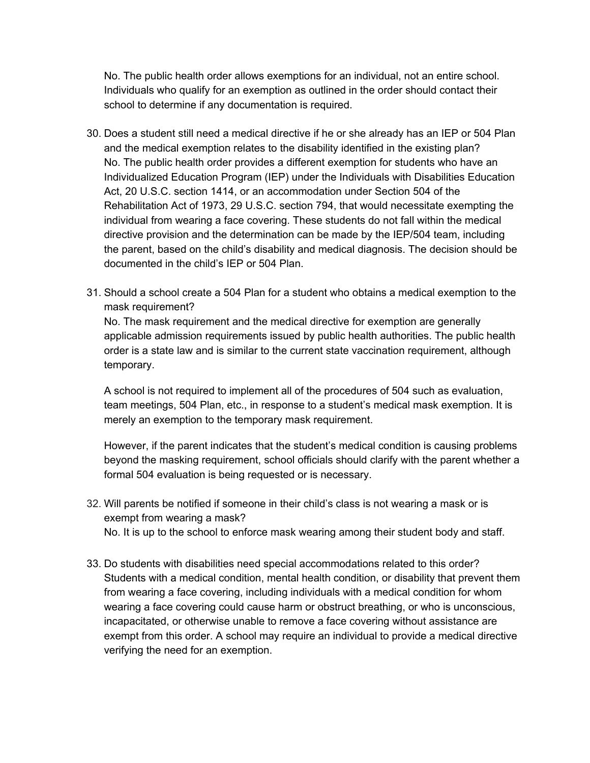No. The public health order allows exemptions for an individual, not an entire school. Individuals who qualify for an exemption as outlined in the order should contact their school to determine if any documentation is required.

- 30. Does a student still need a medical directive if he or she already has an IEP or 504 Plan and the medical exemption relates to the disability identified in the existing plan? No. The public health order provides a different exemption for students who have an Individualized Education Program (IEP) under the Individuals with Disabilities Education Act, 20 U.S.C. section 1414, or an accommodation under Section 504 of the Rehabilitation Act of 1973, 29 U.S.C. section 794, that would necessitate exempting the individual from wearing a face covering. These students do not fall within the medical directive provision and the determination can be made by the IEP/504 team, including the parent, based on the child's disability and medical diagnosis. The decision should be documented in the child's IEP or 504 Plan.
- 31. Should a school create a 504 Plan for a student who obtains a medical exemption to the mask requirement?

No. The mask requirement and the medical directive for exemption are generally applicable admission requirements issued by public health authorities. The public health order is a state law and is similar to the current state vaccination requirement, although temporary.

A school is not required to implement all of the procedures of 504 such as evaluation, team meetings, 504 Plan, etc., in response to a student's medical mask exemption. It is merely an exemption to the temporary mask requirement.

However, if the parent indicates that the student's medical condition is causing problems beyond the masking requirement, school officials should clarify with the parent whether a formal 504 evaluation is being requested or is necessary.

- 32. Will parents be notified if someone in their child's class is not wearing a mask or is exempt from wearing a mask? No. It is up to the school to enforce mask wearing among their student body and staff.
- 33. Do students with disabilities need special accommodations related to this order? Students with a medical condition, mental health condition, or disability that prevent them from wearing a face covering, including individuals with a medical condition for whom wearing a face covering could cause harm or obstruct breathing, or who is unconscious, incapacitated, or otherwise unable to remove a face covering without assistance are exempt from this order. A school may require an individual to provide a medical directive verifying the need for an exemption.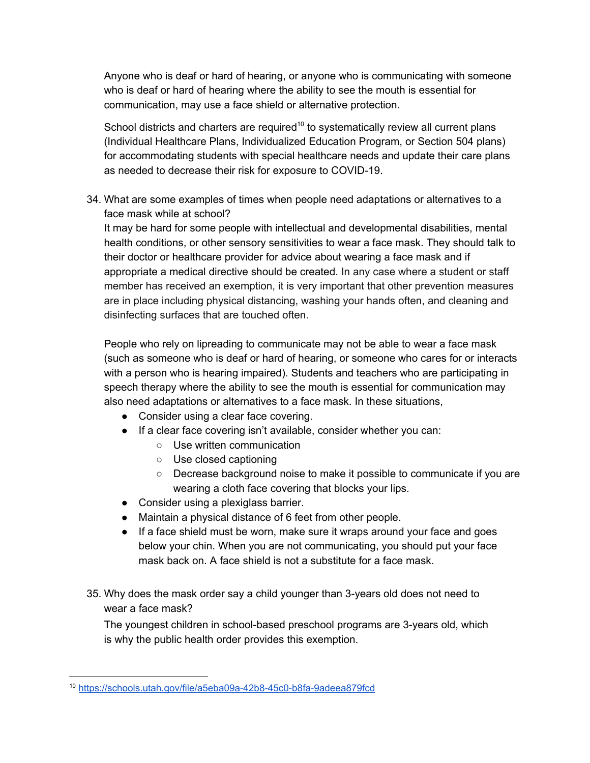Anyone who is deaf or hard of hearing, or anyone who is communicating with someone who is deaf or hard of hearing where the ability to see the mouth is essential for communication, may use a face shield or alternative protection.

School districts and charters are required<sup>10</sup> to systematically review all current plans (Individual Healthcare Plans, Individualized Education Program, or Section 504 plans) for accommodating students with special healthcare needs and update their care plans as needed to decrease their risk for exposure to COVID-19.

34. What are some examples of times when people need adaptations or alternatives to a face mask while at school?

It may be hard for some people with intellectual and developmental disabilities, mental health conditions, or other sensory sensitivities to wear a face mask. They should talk to their doctor or healthcare provider for advice about wearing a face mask and if appropriate a medical directive should be created. In any case where a student or staff member has received an exemption, it is very important that other prevention measures are in place including physical distancing, washing your hands often, and cleaning and disinfecting surfaces that are touched often.

People who rely on lipreading to communicate may not be able to wear a face mask (such as someone who is deaf or hard of hearing, or someone who cares for or interacts with a person who is hearing impaired). Students and teachers who are participating in speech therapy where the ability to see the mouth is essential for communication may also need adaptations or alternatives to a face mask. In these situations,

- Consider using a clear face covering.
- If a clear face covering isn't available, consider whether you can:
	- Use written communication
	- Use closed captioning
	- Decrease background noise to make it possible to communicate if you are wearing a cloth face covering that blocks your lips.
- Consider using a plexiglass barrier.
- Maintain a physical distance of 6 feet from other people.
- If a face shield must be worn, make sure it wraps around your face and goes below your chin. When you are not communicating, you should put your face mask back on. A face shield is not a substitute for a face mask.
- 35. Why does the mask order say a child younger than 3-years old does not need to wear a face mask?

The youngest children in school-based preschool programs are 3-years old, which is why the public health order provides this exemption.

<sup>10</sup> <https://schools.utah.gov/file/a5eba09a-42b8-45c0-b8fa-9adeea879fcd>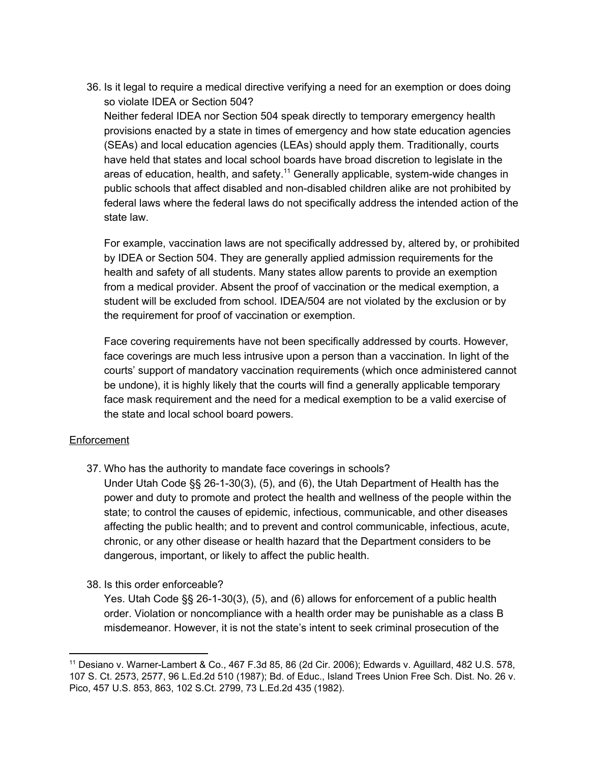36. Is it legal to require a medical directive verifying a need for an exemption or does doing so violate IDEA or Section 504?

Neither federal IDEA nor Section 504 speak directly to temporary emergency health provisions enacted by a state in times of emergency and how state education agencies (SEAs) and local education agencies (LEAs) should apply them. Traditionally, courts have held that states and local school boards have broad discretion to legislate in the areas of education, health, and safety.<sup>11</sup> Generally applicable, system-wide changes in public schools that affect disabled and non-disabled children alike are not prohibited by federal laws where the federal laws do not specifically address the intended action of the state law.

For example, vaccination laws are not specifically addressed by, altered by, or prohibited by IDEA or Section 504. They are generally applied admission requirements for the health and safety of all students. Many states allow parents to provide an exemption from a medical provider. Absent the proof of vaccination or the medical exemption, a student will be excluded from school. IDEA/504 are not violated by the exclusion or by the requirement for proof of vaccination or exemption.

Face covering requirements have not been specifically addressed by courts. However, face coverings are much less intrusive upon a person than a vaccination. In light of the courts' support of mandatory vaccination requirements (which once administered cannot be undone), it is highly likely that the courts will find a generally applicable temporary face mask requirement and the need for a medical exemption to be a valid exercise of the state and local school board powers.

#### **Enforcement**

- 37. Who has the authority to mandate face coverings in schools?
	- Under Utah Code §§ 26-1-30(3), (5), and (6), the Utah Department of Health has the power and duty to promote and protect the health and wellness of the people within the state; to control the causes of epidemic, infectious, communicable, and other diseases affecting the public health; and to prevent and control communicable, infectious, acute, chronic, or any other disease or health hazard that the Department considers to be dangerous, important, or likely to affect the public health.
- 38. Is this order enforceable?

Yes. Utah Code §§ 26-1-30(3), (5), and (6) allows for enforcement of a public health order. Violation or noncompliance with a health order may be punishable as a class B misdemeanor. However, it is not the state's intent to seek criminal prosecution of the

<sup>11</sup> Desiano v. Warner-Lambert & Co., 467 F.3d 85, 86 (2d Cir. 2006); Edwards v. Aguillard, 482 U.S. 578, 107 S. Ct. 2573, 2577, 96 L.Ed.2d 510 (1987); Bd. of Educ., Island Trees Union Free Sch. Dist. No. 26 v. Pico, 457 U.S. 853, 863, 102 S.Ct. 2799, 73 L.Ed.2d 435 (1982).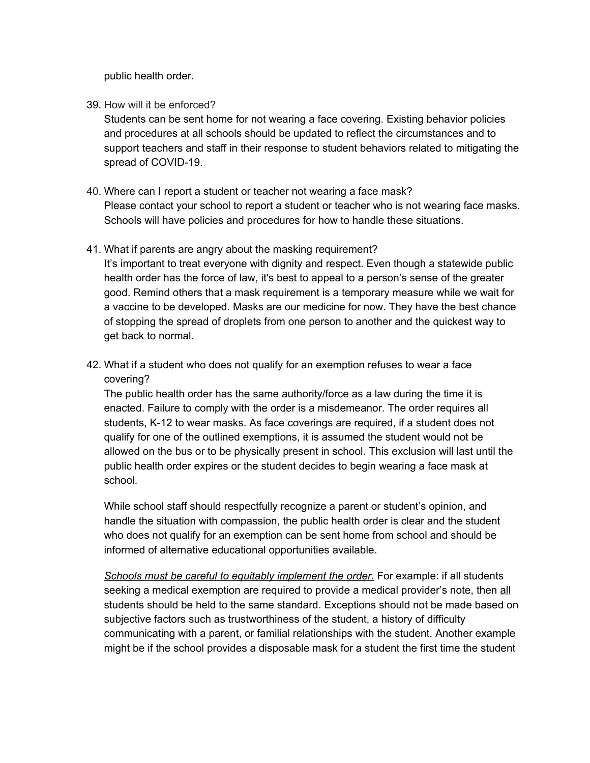public health order.

39. How will it be enforced?

Students can be sent home for not wearing a face covering. Existing behavior policies and procedures at all schools should be updated to reflect the circumstances and to support teachers and staff in their response to student behaviors related to mitigating the spread of COVID-19.

40. Where can I report a student or teacher not wearing a face mask? Please contact your school to report a student or teacher who is not wearing face masks. Schools will have policies and procedures for how to handle these situations.

#### 41. What if parents are angry about the masking requirement?

It's important to treat everyone with dignity and respect. Even though a statewide public health order has the force of law, it's best to appeal to a person's sense of the greater good. Remind others that a mask requirement is a temporary measure while we wait for a vaccine to be developed. Masks are our medicine for now. They have the best chance of stopping the spread of droplets from one person to another and the quickest way to get back to normal.

42. What if a student who does not qualify for an exemption refuses to wear a face covering?

The public health order has the same authority/force as a law during the time it is enacted. Failure to comply with the order is a misdemeanor. The order requires all students, K-12 to wear masks. As face coverings are required, if a student does not qualify for one of the outlined exemptions, it is assumed the student would not be allowed on the bus or to be physically present in school. This exclusion will last until the public health order expires or the student decides to begin wearing a face mask at school.

While school staff should respectfully recognize a parent or student's opinion, and handle the situation with compassion, the public health order is clear and the student who does not qualify for an exemption can be sent home from school and should be informed of alternative educational opportunities available.

*Schools must be careful to equitably implement the order.* For example: if all students seeking a medical exemption are required to provide a medical provider's note, then all students should be held to the same standard. Exceptions should not be made based on subjective factors such as trustworthiness of the student, a history of difficulty communicating with a parent, or familial relationships with the student. Another example might be if the school provides a disposable mask for a student the first time the student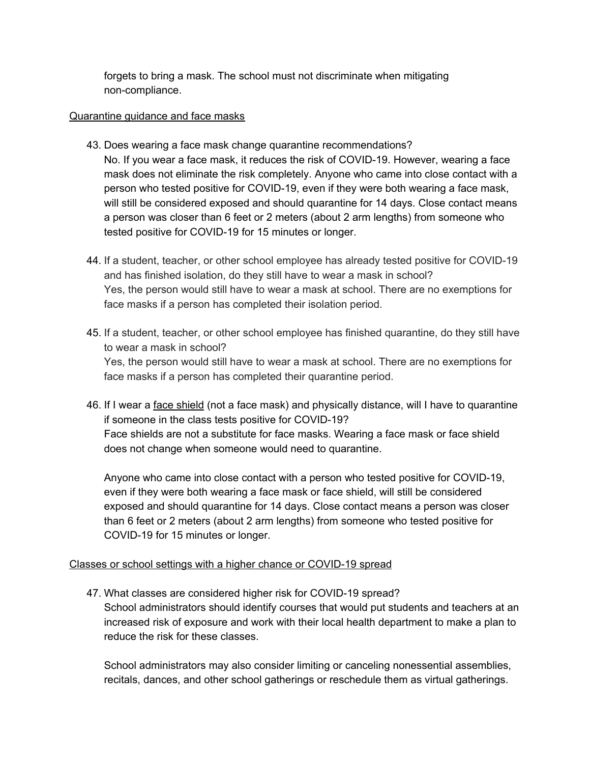forgets to bring a mask. The school must not discriminate when mitigating non-compliance.

#### Quarantine guidance and face masks

- 43. Does wearing a face mask change quarantine recommendations? No. If you wear a face mask, it reduces the risk of COVID-19. However, wearing a face mask does not eliminate the risk completely. Anyone who came into close contact with a person who tested positive for COVID-19, even if they were both wearing a face mask, will still be considered exposed and should quarantine for 14 days. Close contact means a person was closer than 6 feet or 2 meters (about 2 arm lengths) from someone who tested positive for COVID-19 for 15 minutes or longer.
- 44. If a student, teacher, or other school employee has already tested positive for COVID-19 and has finished isolation, do they still have to wear a mask in school? Yes, the person would still have to wear a mask at school. There are no exemptions for face masks if a person has completed their isolation period.
- 45. If a student, teacher, or other school employee has finished quarantine, do they still have to wear a mask in school? Yes, the person would still have to wear a mask at school. There are no exemptions for face masks if a person has completed their quarantine period.
- 46. If I wear a face shield (not a face mask) and physically distance, will I have to quarantine if someone in the class tests positive for COVID-19? Face shields are not a substitute for face masks. Wearing a face mask or face shield does not change when someone would need to quarantine.

Anyone who came into close contact with a person who tested positive for COVID-19, even if they were both wearing a face mask or face shield, will still be considered exposed and should quarantine for 14 days. Close contact means a person was closer than 6 feet or 2 meters (about 2 arm lengths) from someone who tested positive for COVID-19 for 15 minutes or longer.

## Classes or school settings with a higher chance or COVID-19 spread

47. What classes are considered higher risk for COVID-19 spread? School administrators should identify courses that would put students and teachers at an increased risk of exposure and work with their local health department to make a plan to reduce the risk for these classes.

School administrators may also consider limiting or canceling nonessential assemblies, recitals, dances, and other school gatherings or reschedule them as virtual gatherings.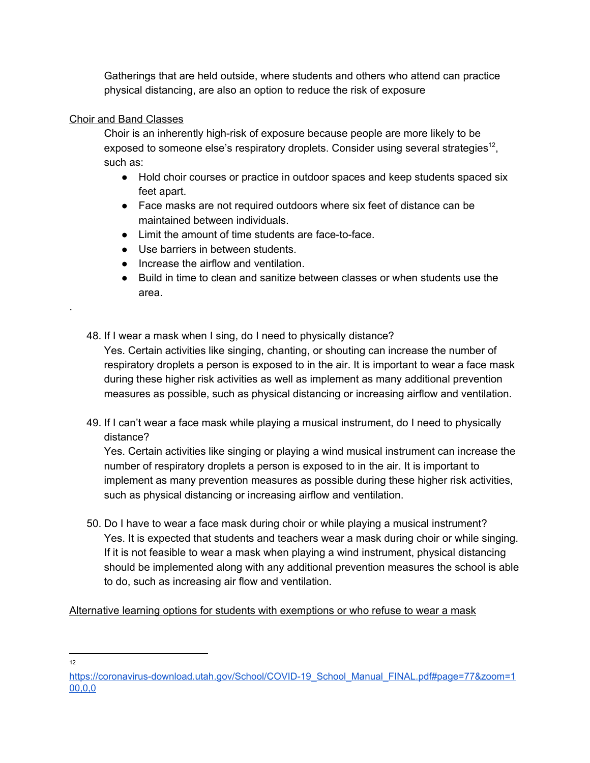Gatherings that are held outside, where students and others who attend can practice physical distancing, are also an option to reduce the risk of exposure

## Choir and Band Classes

Choir is an inherently high-risk of exposure because people are more likely to be exposed to someone else's respiratory droplets. Consider using several strategies<sup>12</sup>, such as:

- Hold choir courses or practice in outdoor spaces and keep students spaced six feet apart.
- Face masks are not required outdoors where six feet of distance can be maintained between individuals.
- Limit the amount of time students are face-to-face.
- Use barriers in between students.
- Increase the airflow and ventilation.
- Build in time to clean and sanitize between classes or when students use the area.
- 48. If I wear a mask when I sing, do I need to physically distance? Yes. Certain activities like singing, chanting, or shouting can increase the number of respiratory droplets a person is exposed to in the air. It is important to wear a face mask during these higher risk activities as well as implement as many additional prevention measures as possible, such as physical distancing or increasing airflow and ventilation.
- 49. If I can't wear a face mask while playing a musical instrument, do I need to physically distance?

Yes. Certain activities like singing or playing a wind musical instrument can increase the number of respiratory droplets a person is exposed to in the air. It is important to implement as many prevention measures as possible during these higher risk activities, such as physical distancing or increasing airflow and ventilation.

50. Do I have to wear a face mask during choir or while playing a musical instrument? Yes. It is expected that students and teachers wear a mask during choir or while singing. If it is not feasible to wear a mask when playing a wind instrument, physical distancing should be implemented along with any additional prevention measures the school is able to do, such as increasing air flow and ventilation.

Alternative learning options for students with exemptions or who refuse to wear a mask

12

.

[https://coronavirus-download.utah.gov/School/COVID-19\\_School\\_Manual\\_FINAL.pdf#page=77&zoom=1](https://coronavirus-download.utah.gov/School/COVID-19_School_Manual_FINAL.pdf#page=77&zoom=100,0,0) [00,0,0](https://coronavirus-download.utah.gov/School/COVID-19_School_Manual_FINAL.pdf#page=77&zoom=100,0,0)